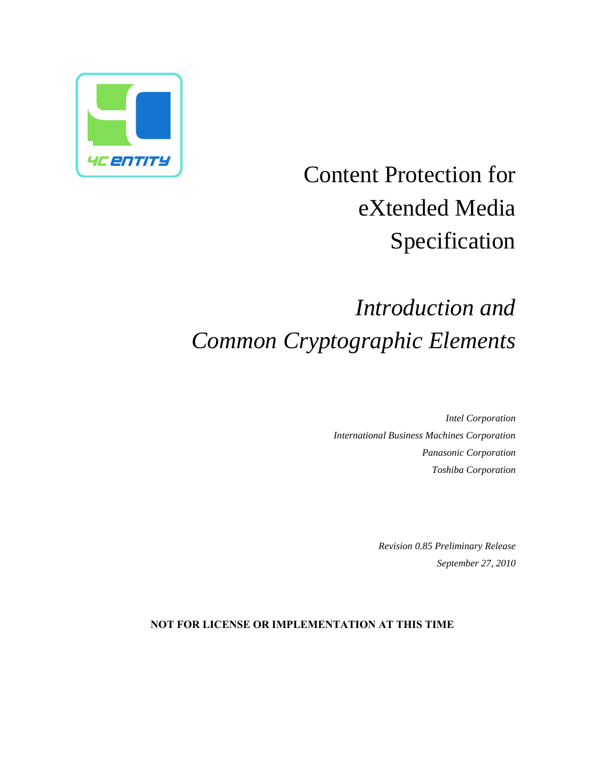

# Content Protection for eXtended Media Specification

# *Introduction and Common Cryptographic Elements*

*Intel Corporation International Business Machines Corporation Panasonic Corporation Toshiba Corporation*

> *Revision 0.85 Preliminary Release September 27, 2010*

#### **NOT FOR LICENSE OR IMPLEMENTATION AT THIS TIME**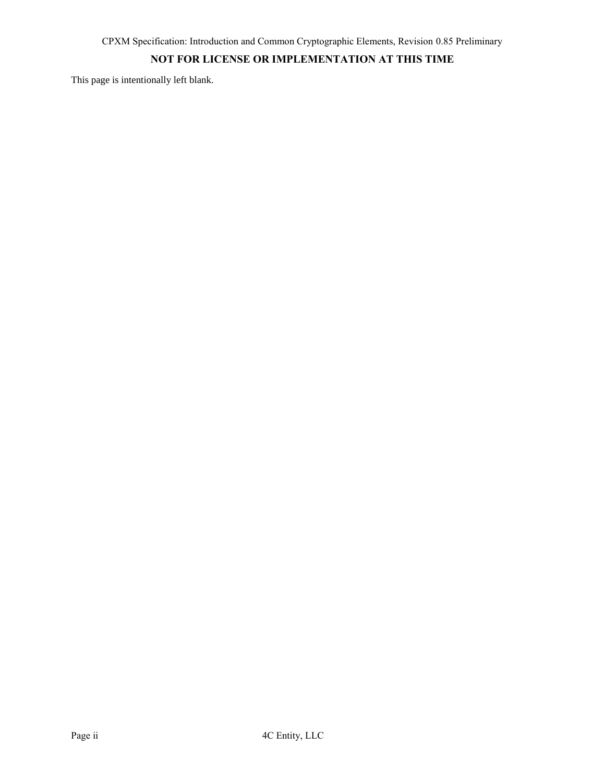This page is intentionally left blank.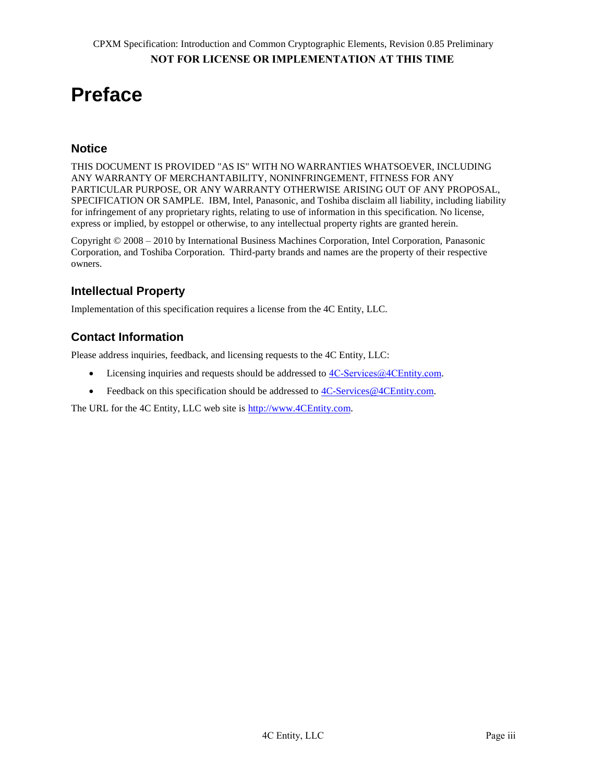## **Preface**

## **Notice**

THIS DOCUMENT IS PROVIDED "AS IS" WITH NO WARRANTIES WHATSOEVER, INCLUDING ANY WARRANTY OF MERCHANTABILITY, NONINFRINGEMENT, FITNESS FOR ANY PARTICULAR PURPOSE, OR ANY WARRANTY OTHERWISE ARISING OUT OF ANY PROPOSAL, SPECIFICATION OR SAMPLE. IBM, Intel, Panasonic, and Toshiba disclaim all liability, including liability for infringement of any proprietary rights, relating to use of information in this specification. No license, express or implied, by estoppel or otherwise, to any intellectual property rights are granted herein.

Copyright © 2008 – 2010 by International Business Machines Corporation, Intel Corporation, Panasonic Corporation, and Toshiba Corporation. Third-party brands and names are the property of their respective owners.

## **Intellectual Property**

Implementation of this specification requires a license from the 4C Entity, LLC.

## **Contact Information**

Please address inquiries, feedback, and licensing requests to the 4C Entity, LLC:

- Licensing inquiries and requests should be addressed to  $4C$ -Services $@$  4CEntity.com.
- Feedback on this specification should be addressed to  $4C$ -Services @4CEntity.com.

The URL for the 4C Entity, LLC web site is [http://www.4CEntity.com.](http://www.4centity.com/)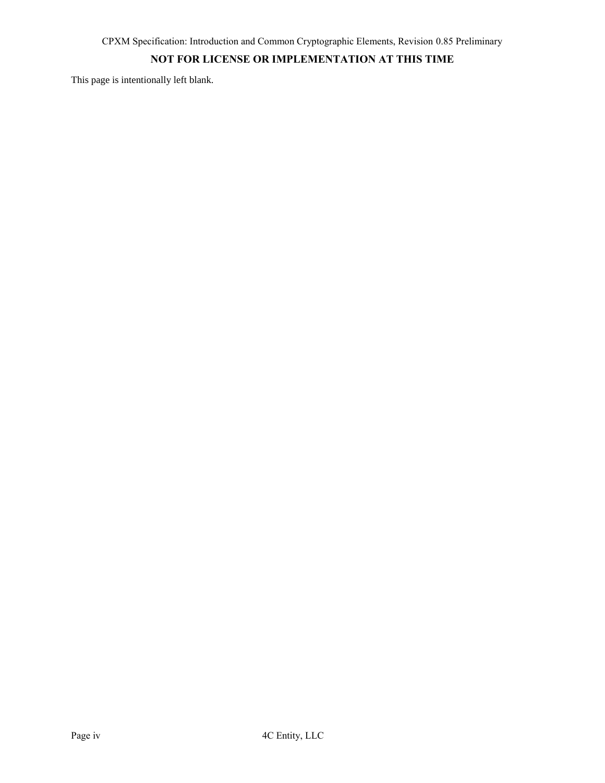This page is intentionally left blank.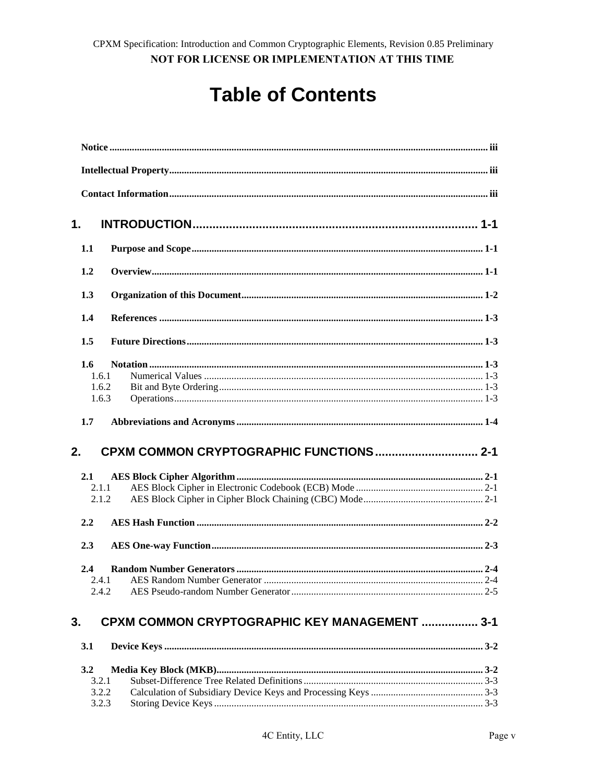## **Table of Contents**

| 1.  |                                                      |  |
|-----|------------------------------------------------------|--|
| 1.1 |                                                      |  |
| 1.2 |                                                      |  |
| 1.3 |                                                      |  |
| 1.4 |                                                      |  |
| 1.5 |                                                      |  |
| 1.6 |                                                      |  |
|     | 1.6.1                                                |  |
|     | 1.6.2                                                |  |
|     | 1.6.3                                                |  |
| 1.7 |                                                      |  |
| 2.  |                                                      |  |
| 2.1 |                                                      |  |
|     | 2.1.1                                                |  |
|     | 2.1.2                                                |  |
| 2.2 |                                                      |  |
| 2.3 |                                                      |  |
| 2.4 |                                                      |  |
|     | 2.4.1                                                |  |
|     | 2.4.2                                                |  |
| 3.  | <b>CPXM COMMON CRYPTOGRAPHIC KEY MANAGEMENT  3-1</b> |  |
|     |                                                      |  |
| 3.1 |                                                      |  |
| 3.2 |                                                      |  |
|     | 3.2.1                                                |  |
|     | 3.2.2                                                |  |
|     | 3.2.3                                                |  |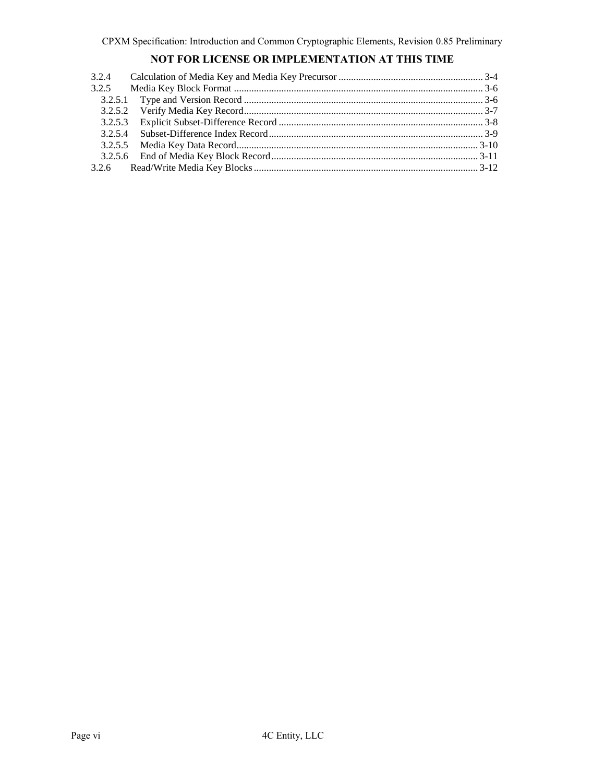| 3.2.4 |  |
|-------|--|
|       |  |
|       |  |
|       |  |
|       |  |
|       |  |
|       |  |
|       |  |
|       |  |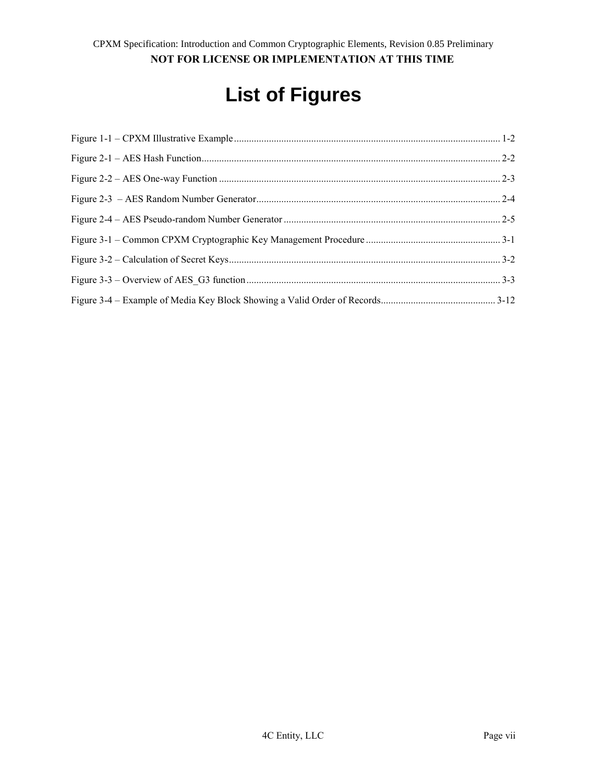## CPXM Specification: Introduction and Common Cryptographic Elements, Revision 0.85 Preliminary **NOT FOR LICENSE OR IMPLEMENTATION AT THIS TIME**

## **List of Figures**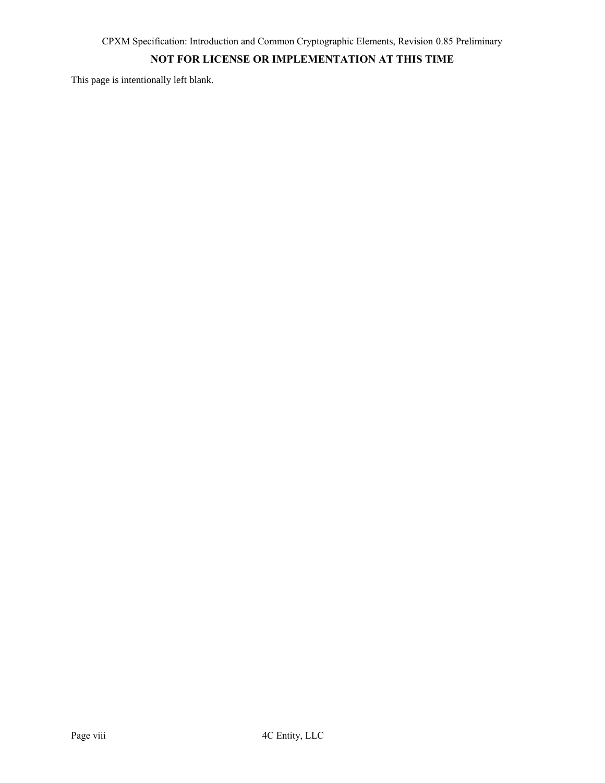This page is intentionally left blank.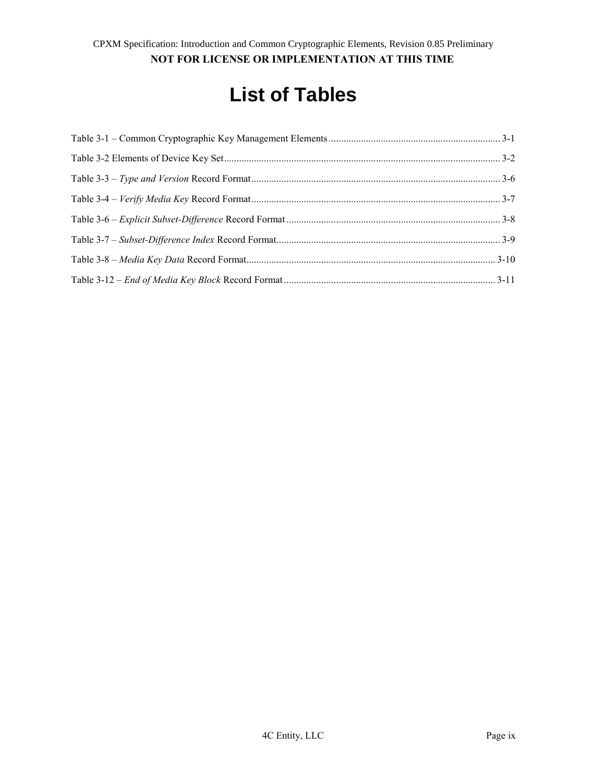## CPXM Specification: Introduction and Common Cryptographic Elements, Revision 0.85 Preliminary **NOT FOR LICENSE OR IMPLEMENTATION AT THIS TIME**

## **List of Tables**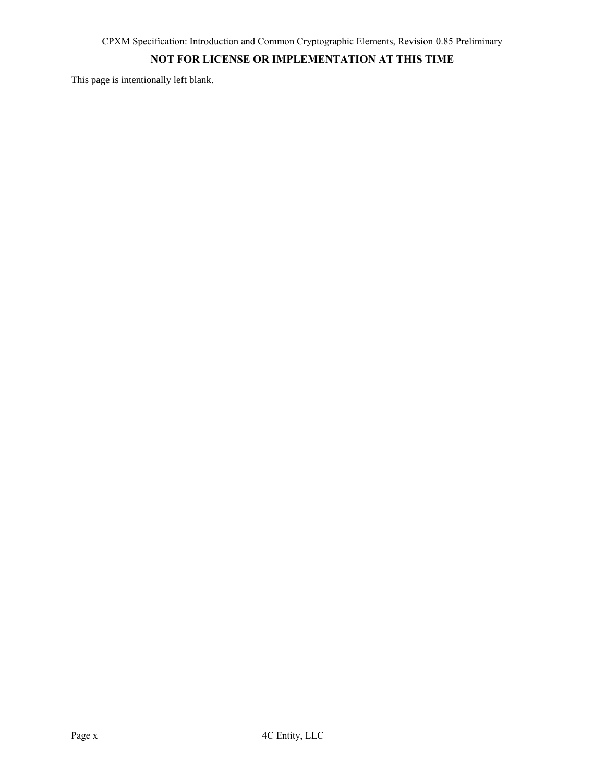This page is intentionally left blank.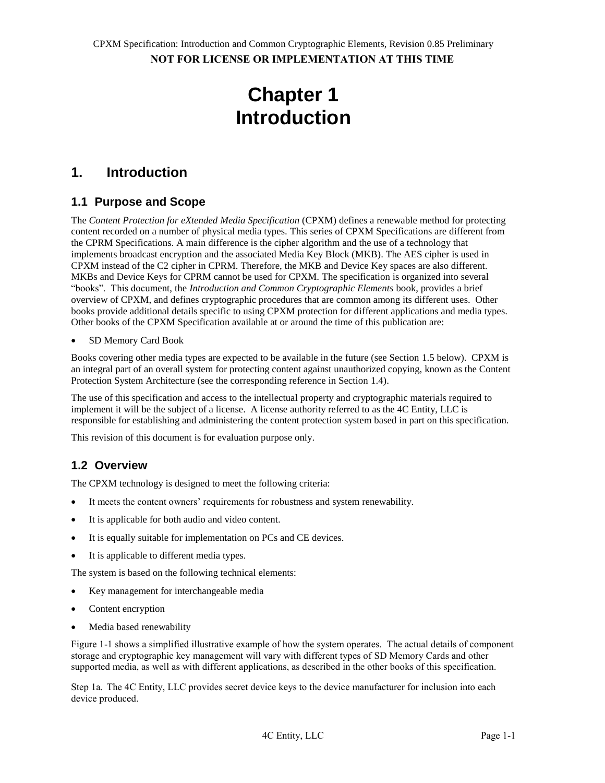## **Chapter 1 Introduction**

## <span id="page-10-0"></span>**1. Introduction**

## **1.1 Purpose and Scope**

The *Content Protection for eXtended Media Specification* (CPXM) defines a renewable method for protecting content recorded on a number of physical media types. This series of CPXM Specifications are different from the CPRM Specifications. A main difference is the cipher algorithm and the use of a technology that implements broadcast encryption and the associated Media Key Block (MKB). The AES cipher is used in CPXM instead of the C2 cipher in CPRM. Therefore, the MKB and Device Key spaces are also different. MKBs and Device Keys for CPRM cannot be used for CPXM. The specification is organized into several "books". This document, the *Introduction and Common Cryptographic Elements* book, provides a brief overview of CPXM, and defines cryptographic procedures that are common among its different uses. Other books provide additional details specific to using CPXM protection for different applications and media types. Other books of the CPXM Specification available at or around the time of this publication are:

SD Memory Card Book

Books covering other media types are expected to be available in the future (see Section [1.5](#page-12-0) below). CPXM is an integral part of an overall system for protecting content against unauthorized copying, known as the Content Protection System Architecture (see the corresponding reference in Section [1.4\)](#page-11-0).

The use of this specification and access to the intellectual property and cryptographic materials required to implement it will be the subject of a license. A license authority referred to as the 4C Entity, LLC is responsible for establishing and administering the content protection system based in part on this specification.

This revision of this document is for evaluation purpose only.

## **1.2 Overview**

The CPXM technology is designed to meet the following criteria:

- It meets the content owners' requirements for robustness and system renewability.
- It is applicable for both audio and video content.
- It is equally suitable for implementation on PCs and CE devices.
- It is applicable to different media types.

The system is based on the following technical elements:

- Key management for interchangeable media
- Content encryption
- Media based renewability

[Figure 1-1](#page-11-1) shows a simplified illustrative example of how the system operates. The actual details of component storage and cryptographic key management will vary with different types of SD Memory Cards and other supported media, as well as with different applications, as described in the other books of this specification.

Step 1a. The 4C Entity, LLC provides secret device keys to the device manufacturer for inclusion into each device produced.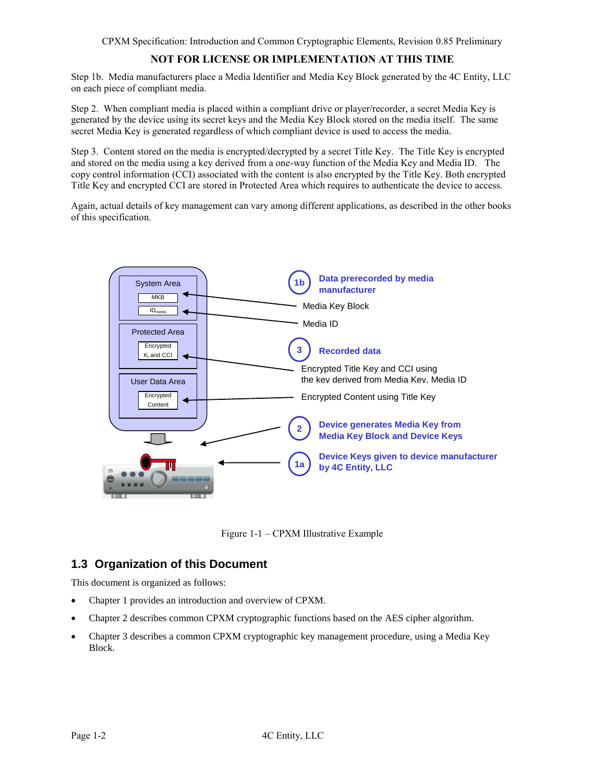CPXM Specification: Introduction and Common Cryptographic Elements, Revision 0.85 Preliminary

#### **NOT FOR LICENSE OR IMPLEMENTATION AT THIS TIME**

Step 1b. Media manufacturers place a Media Identifier and Media Key Block generated by the 4C Entity, LLC on each piece of compliant media.

Step 2. When compliant media is placed within a compliant drive or player/recorder, a secret Media Key is generated by the device using its secret keys and the Media Key Block stored on the media itself. The same secret Media Key is generated regardless of which compliant device is used to access the media.

Step 3. Content stored on the media is encrypted/decrypted by a secret Title Key. The Title Key is encrypted and stored on the media using a key derived from a one-way function of the Media Key and Media ID. The copy control information (CCI) associated with the content is also encrypted by the Title Key. Both encrypted Title Key and encrypted CCI are stored in Protected Area which requires to authenticate the device to access.

Again, actual details of key management can vary among different applications, as described in the other books of this specification.



Figure 1-1 – CPXM Illustrative Example

## <span id="page-11-1"></span>**1.3 Organization of this Document**

This document is organized as follows:

- Chapter [1](#page-10-0) provides an introduction and overview of CPXM.
- Chapter [2](#page-14-0) describes common CPXM cryptographic functions based on the AES cipher algorithm.
- <span id="page-11-0"></span> Chapter [3](#page-20-0) describes a common CPXM cryptographic key management procedure, using a Media Key Block.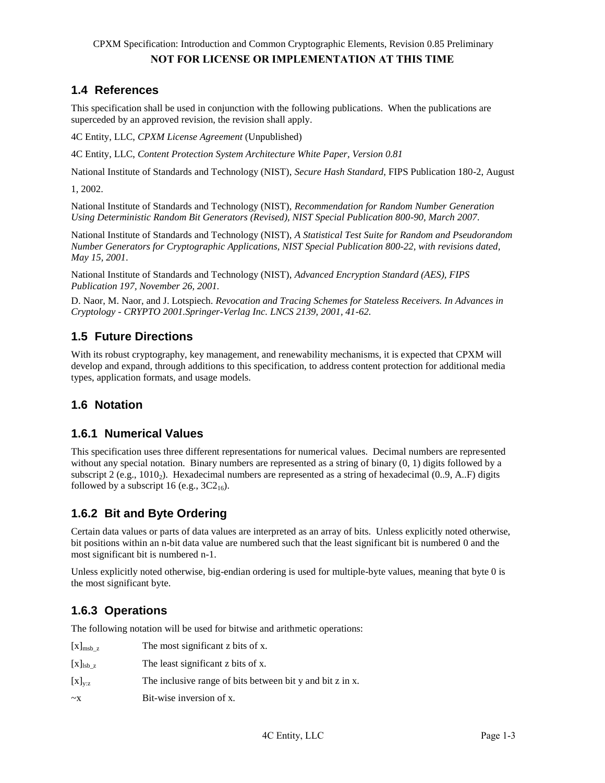#### CPXM Specification: Introduction and Common Cryptographic Elements, Revision 0.85 Preliminary **NOT FOR LICENSE OR IMPLEMENTATION AT THIS TIME**

## <span id="page-12-1"></span>**1.4 References**

This specification shall be used in conjunction with the following publications. When the publications are superceded by an approved revision, the revision shall apply.

4C Entity, LLC, *CPXM License Agreement* (Unpublished)

4C Entity, LLC, *Content Protection System Architecture White Paper, Version 0.81*

National Institute of Standards and Technology (NIST), *Secure Hash Standard*, FIPS Publication 180-2, August

1, 2002.

National Institute of Standards and Technology (NIST), *Recommendation for Random Number Generation Using Deterministic Random Bit Generators (Revised), NIST Special Publication 800-90, March 2007*.

National Institute of Standards and Technology (NIST), *A Statistical Test Suite for Random and Pseudorandom Number Generators for Cryptographic Applications, NIST Special Publication 800-22, with revisions dated, May 15, 2001*.

National Institute of Standards and Technology (NIST), *Advanced Encryption Standard (AES), FIPS Publication 197, November 26, 2001.*

D. Naor, M. Naor, and J. Lotspiech. *Revocation and Tracing Schemes for Stateless Receivers. In Advances in Cryptology - CRYPTO 2001.Springer-Verlag Inc. LNCS 2139, 2001, 41-62.*

## <span id="page-12-0"></span>**1.5 Future Directions**

With its robust cryptography, key management, and renewability mechanisms, it is expected that CPXM will develop and expand, through additions to this specification, to address content protection for additional media types, application formats, and usage models.

## **1.6 Notation**

#### **1.6.1 Numerical Values**

This specification uses three different representations for numerical values. Decimal numbers are represented without any special notation. Binary numbers are represented as a string of binary (0, 1) digits followed by a subscript 2 (e.g., 1010<sub>2</sub>). Hexadecimal numbers are represented as a string of hexadecimal (0..9, A..F) digits followed by a subscript 16 (e.g.,  $3C2_{16}$ ).

## **1.6.2 Bit and Byte Ordering**

Certain data values or parts of data values are interpreted as an array of bits. Unless explicitly noted otherwise, bit positions within an n-bit data value are numbered such that the least significant bit is numbered 0 and the most significant bit is numbered n-1.

Unless explicitly noted otherwise, big-endian ordering is used for multiple-byte values, meaning that byte 0 is the most significant byte.

## **1.6.3 Operations**

The following notation will be used for bitwise and arithmetic operations:

| $[x]_{msb_z}$      | The most significant z bits of x.                         |
|--------------------|-----------------------------------------------------------|
| $[X]_{\rm lsb\ z}$ | The least significant z bits of x.                        |
| $[x]_{y:z}$        | The inclusive range of bits between bit y and bit z in x. |
| $\sim$ X           | Bit-wise inversion of x.                                  |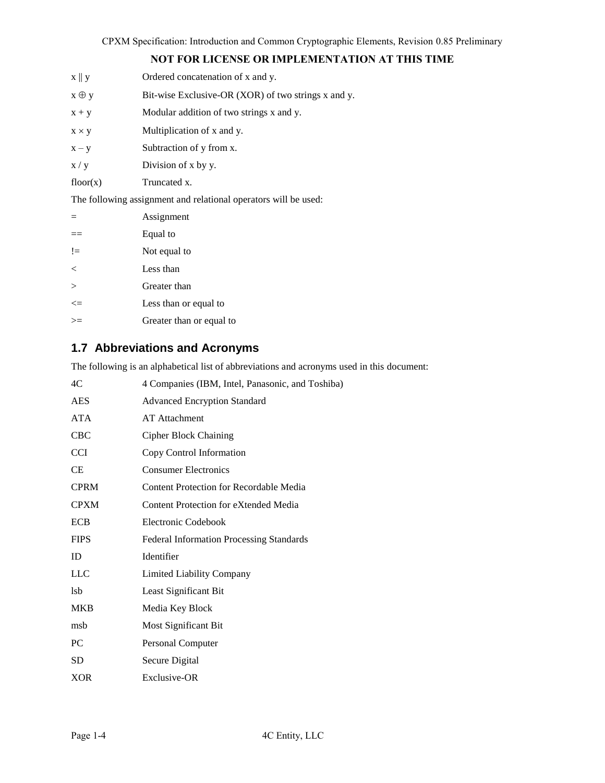| $x \parallel y$ | Ordered concatenation of x and y.                   |
|-----------------|-----------------------------------------------------|
| х ⊕ у           | Bit-wise Exclusive-OR (XOR) of two strings x and y. |
| $x + y$         | Modular addition of two strings x and y.            |
| $X \times V$    | Multiplication of x and y.                          |
| $x - y$         | Subtraction of y from x.                            |
| x / y           | Division of x by y.                                 |
| floor(x)        | Truncated x.                                        |
|                 |                                                     |

The following assignment and relational operators will be used:

|         | Assignment               |
|---------|--------------------------|
|         | Equal to                 |
| $!=$    | Not equal to             |
| $\,<\,$ | Less than                |
| $\geq$  | Greater than             |
| $\leq$  | Less than or equal to    |
| $>=$    | Greater than or equal to |
|         |                          |

### **1.7 Abbreviations and Acronyms**

The following is an alphabetical list of abbreviations and acronyms used in this document:

| 4C          | 4 Companies (IBM, Intel, Panasonic, and Toshiba) |
|-------------|--------------------------------------------------|
| <b>AES</b>  | <b>Advanced Encryption Standard</b>              |
| <b>ATA</b>  | <b>AT Attachment</b>                             |
| <b>CBC</b>  | <b>Cipher Block Chaining</b>                     |
| <b>CCI</b>  | Copy Control Information                         |
| <b>CE</b>   | <b>Consumer Electronics</b>                      |
| <b>CPRM</b> | <b>Content Protection for Recordable Media</b>   |
| <b>CPXM</b> | Content Protection for eXtended Media            |
| <b>ECB</b>  | Electronic Codebook                              |
| <b>FIPS</b> | <b>Federal Information Processing Standards</b>  |
| ID          | Identifier                                       |
| <b>LLC</b>  | <b>Limited Liability Company</b>                 |
| <b>lsb</b>  | Least Significant Bit                            |
| <b>MKB</b>  | Media Key Block                                  |
| msb         | Most Significant Bit                             |
| PC          | Personal Computer                                |
| <b>SD</b>   | Secure Digital                                   |
| <b>XOR</b>  | Exclusive-OR                                     |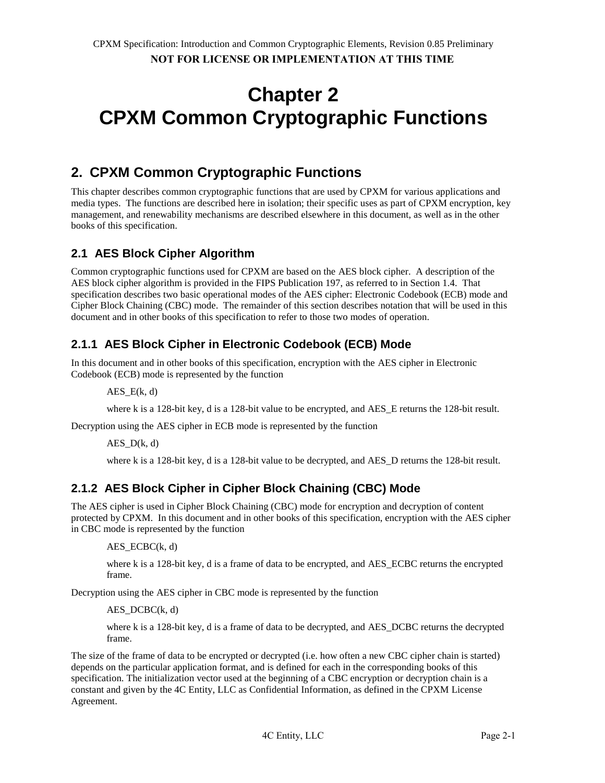## **Chapter 2 CPXM Common Cryptographic Functions**

## <span id="page-14-0"></span>**2. CPXM Common Cryptographic Functions**

This chapter describes common cryptographic functions that are used by CPXM for various applications and media types. The functions are described here in isolation; their specific uses as part of CPXM encryption, key management, and renewability mechanisms are described elsewhere in this document, as well as in the other books of this specification.

## **2.1 AES Block Cipher Algorithm**

Common cryptographic functions used for CPXM are based on the AES block cipher. A description of the AES block cipher algorithm is provided in the FIPS Publication 197, as referred to in Section [1.4.](#page-12-1) That specification describes two basic operational modes of the AES cipher: Electronic Codebook (ECB) mode and Cipher Block Chaining (CBC) mode. The remainder of this section describes notation that will be used in this document and in other books of this specification to refer to those two modes of operation.

## **2.1.1 AES Block Cipher in Electronic Codebook (ECB) Mode**

In this document and in other books of this specification, encryption with the AES cipher in Electronic Codebook (ECB) mode is represented by the function

#### AES  $E(k, d)$

where k is a 128-bit key, d is a 128-bit value to be encrypted, and AES\_E returns the 128-bit result.

Decryption using the AES cipher in ECB mode is represented by the function

#### AES  $D(k, d)$

where k is a 128-bit key, d is a 128-bit value to be decrypted, and AES\_D returns the 128-bit result.

## **2.1.2 AES Block Cipher in Cipher Block Chaining (CBC) Mode**

The AES cipher is used in Cipher Block Chaining (CBC) mode for encryption and decryption of content protected by CPXM. In this document and in other books of this specification, encryption with the AES cipher in CBC mode is represented by the function

#### AES\_ECBC(k, d)

where k is a 128-bit key, d is a frame of data to be encrypted, and AES\_ECBC returns the encrypted frame.

Decryption using the AES cipher in CBC mode is represented by the function

#### AES\_DCBC(k, d)

where k is a 128-bit key, d is a frame of data to be decrypted, and AES\_DCBC returns the decrypted frame.

The size of the frame of data to be encrypted or decrypted (i.e. how often a new CBC cipher chain is started) depends on the particular application format, and is defined for each in the corresponding books of this specification. The initialization vector used at the beginning of a CBC encryption or decryption chain is a constant and given by the 4C Entity, LLC as Confidential Information, as defined in the CPXM License Agreement.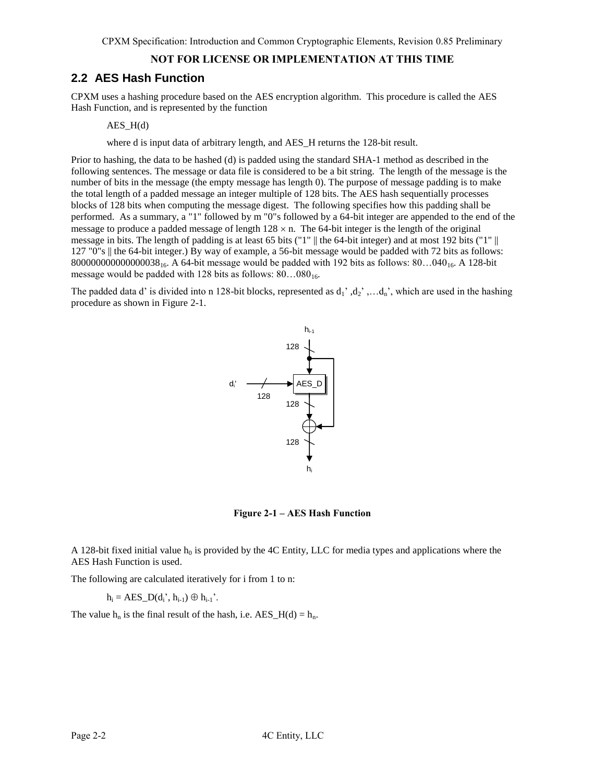#### **2.2 AES Hash Function**

CPXM uses a hashing procedure based on the AES encryption algorithm. This procedure is called the AES Hash Function, and is represented by the function

 $AES_H(d)$ 

where d is input data of arbitrary length, and AES\_H returns the 128-bit result.

Prior to hashing, the data to be hashed (d) is padded using the standard SHA-1 method as described in the following sentences. The message or data file is considered to be a bit string. The length of the message is the number of bits in the message (the empty message has length 0). The purpose of message padding is to make the total length of a padded message an integer multiple of 128 bits. The AES hash sequentially processes blocks of 128 bits when computing the message digest. The following specifies how this padding shall be performed. As a summary, a "1" followed by m "0"s followed by a 64-bit integer are appended to the end of the message to produce a padded message of length  $128 \times n$ . The 64-bit integer is the length of the original message in bits. The length of padding is at least 65 bits ("1" || the 64-bit integer) and at most 192 bits ("1" || 127 "0"s || the 64-bit integer.) By way of example, a 56-bit message would be padded with 72 bits as follows: 8000000000000000038<sub>16</sub>. A 64-bit message would be padded with 192 bits as follows:  $80...040_{16}$ . A 128-bit message would be padded with 128 bits as follows:  $80...080_{16}$ .

The padded data d' is divided into n 128-bit blocks, represented as  $d_1$ ',  $d_2$ ', ... $d_n$ ', which are used in the hashing procedure as shown in [Figure 2-1.](#page-15-0)



**Figure 2-1 – AES Hash Function**

<span id="page-15-0"></span>A 128-bit fixed initial value  $h_0$  is provided by the 4C Entity, LLC for media types and applications where the AES Hash Function is used.

The following are calculated iteratively for i from 1 to n:

 $h_i = AES\_D(d_i', h_{i-1}) \oplus h_{i-1}'.$ 

The value  $h_n$  is the final result of the hash, i.e.  $AES_H(d) = h_n$ .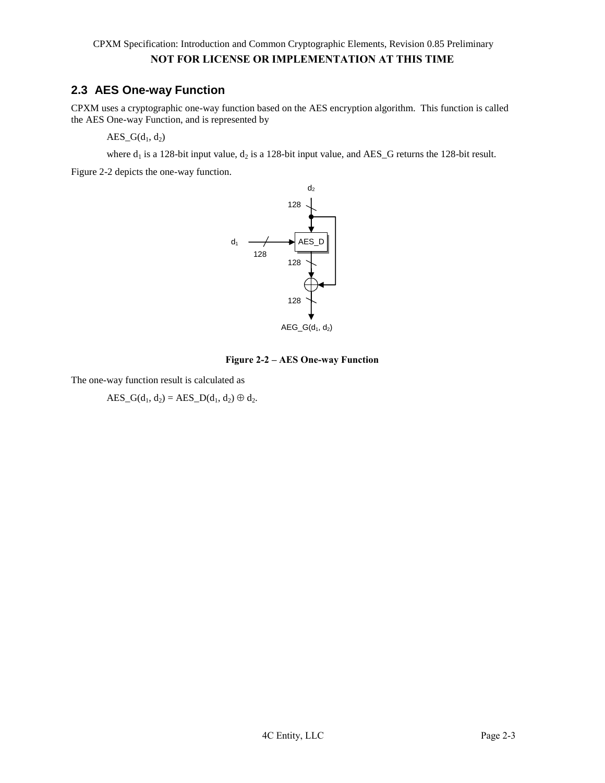#### CPXM Specification: Introduction and Common Cryptographic Elements, Revision 0.85 Preliminary **NOT FOR LICENSE OR IMPLEMENTATION AT THIS TIME**

## **2.3 AES One-way Function**

CPXM uses a cryptographic one-way function based on the AES encryption algorithm. This function is called the AES One-way Function, and is represented by

 $AES_G(d_1, d_2)$ 

where  $d_1$  is a 128-bit input value,  $d_2$  is a 128-bit input value, and AES\_G returns the 128-bit result.

[Figure 2-2](#page-16-0) depicts the one-way function.





<span id="page-16-0"></span>The one-way function result is calculated as

AES\_G(d<sub>1</sub>, d<sub>2</sub>) = AES\_D(d<sub>1</sub>, d<sub>2</sub>)  $\oplus$  d<sub>2</sub>.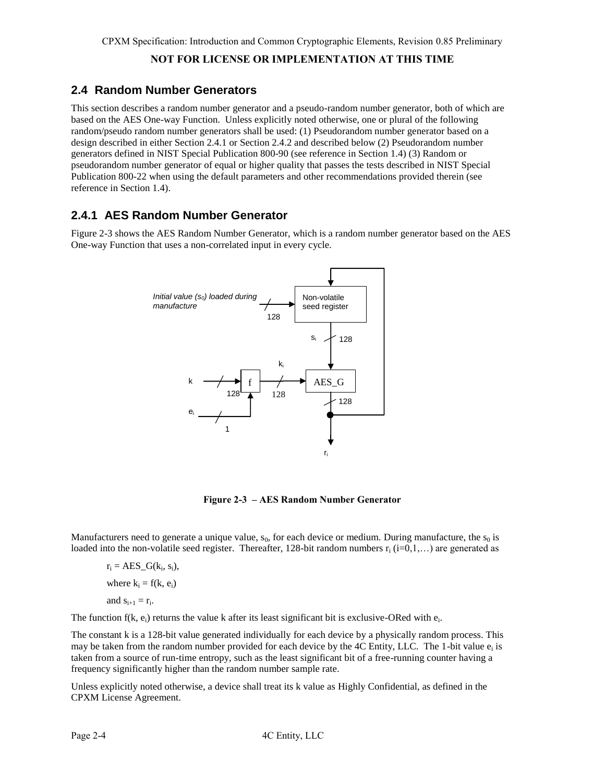### **2.4 Random Number Generators**

This section describes a random number generator and a pseudo-random number generator, both of which are based on the AES One-way Function. Unless explicitly noted otherwise, one or plural of the following random/pseudo random number generators shall be used: (1) Pseudorandom number generator based on a design described in either Section [2.4.1](#page-17-0) or Section [2.4.2](#page-18-0) and described below (2) Pseudorandom number generators defined in NIST Special Publication 800-90 (see reference in Section 1.4) (3) Random or pseudorandom number generator of equal or higher quality that passes the tests described in NIST Special Publication 800-22 when using the default parameters and other recommendations provided therein (see reference in Section [1.4\)](#page-12-1).

## <span id="page-17-0"></span>**2.4.1 AES Random Number Generator**

[Figure 2-3](#page-17-1) shows the AES Random Number Generator, which is a random number generator based on the AES One-way Function that uses a non-correlated input in every cycle.



**Figure 2-3 – AES Random Number Generator**

<span id="page-17-1"></span>Manufacturers need to generate a unique value,  $s_0$ , for each device or medium. During manufacture, the  $s_0$  is loaded into the non-volatile seed register. Thereafter, 128-bit random numbers  $r_i$  (i=0,1,...) are generated as

 $r_i = AES_G(k_i, s_i),$ where  $k_i = f(k, e_i)$ and  $s_{i+1} = r_i$ .

The function  $f(k, e_i)$  returns the value k after its least significant bit is exclusive-ORed with  $e_i$ .

The constant k is a 128-bit value generated individually for each device by a physically random process. This may be taken from the random number provided for each device by the 4C Entity, LLC. The 1-bit value  $e_i$  is taken from a source of run-time entropy, such as the least significant bit of a free-running counter having a frequency significantly higher than the random number sample rate.

Unless explicitly noted otherwise, a device shall treat its k value as Highly Confidential, as defined in the CPXM License Agreement.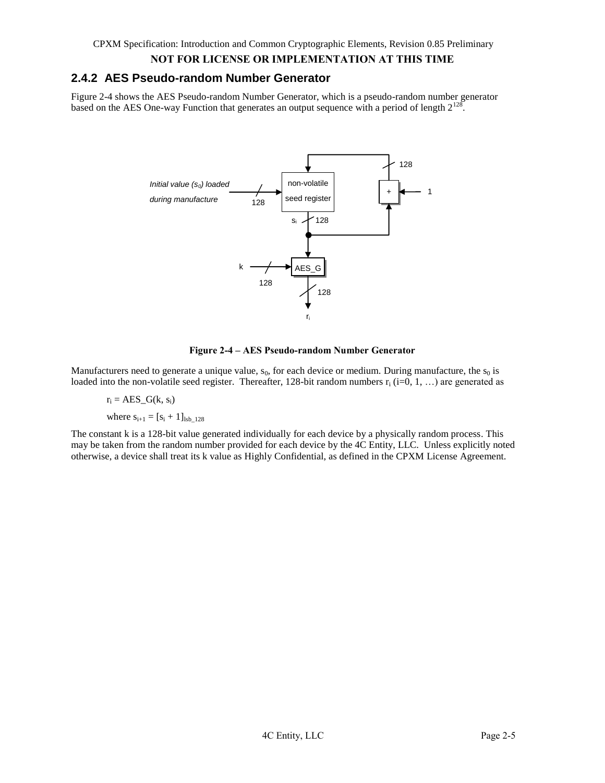#### <span id="page-18-0"></span>**2.4.2 AES Pseudo-random Number Generator**

[Figure 2-4](#page-18-1) shows the AES Pseudo-random Number Generator, which is a pseudo-random number generator based on the AES One-way Function that generates an output sequence with a period of length  $2^{128}$ .



**Figure 2-4 – AES Pseudo-random Number Generator**

<span id="page-18-1"></span>Manufacturers need to generate a unique value,  $s_0$ , for each device or medium. During manufacture, the  $s_0$  is loaded into the non-volatile seed register. Thereafter, 128-bit random numbers  $r_i$  (i=0, 1, ...) are generated as

 $r_i = AES_G(k, s_i)$ where  $s_{i+1} = [s_i + 1]_{lsb-128}$ 

The constant k is a 128-bit value generated individually for each device by a physically random process. This may be taken from the random number provided for each device by the 4C Entity, LLC. Unless explicitly noted otherwise, a device shall treat its k value as Highly Confidential, as defined in the CPXM License Agreement.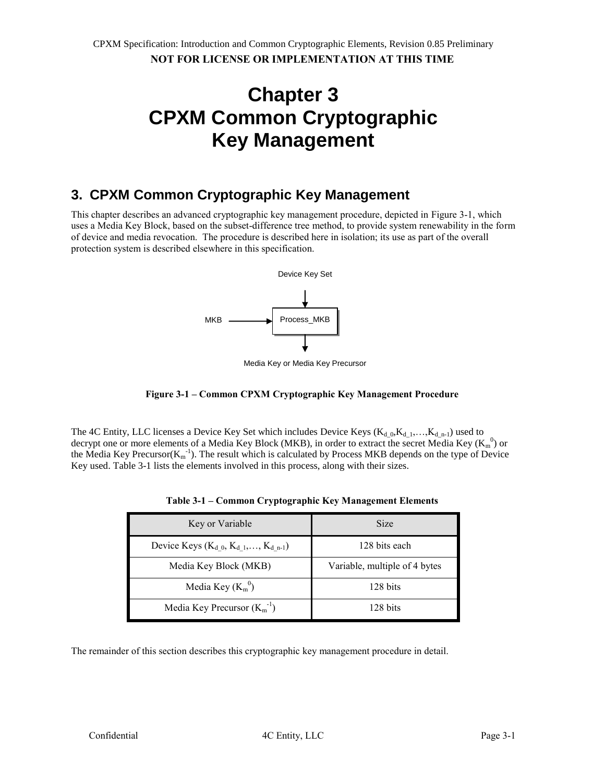## **Chapter 3 CPXM Common Cryptographic Key Management**

## <span id="page-20-0"></span>**3. CPXM Common Cryptographic Key Management**

This chapter describes an advanced cryptographic key management procedure, depicted in [Figure 3-1,](#page-20-1) which uses a Media Key Block, based on the subset-difference tree method, to provide system renewability in the form of device and media revocation. The procedure is described here in isolation; its use as part of the overall protection system is described elsewhere in this specification.



Media Key or Media Key Precursor



<span id="page-20-1"></span>The 4C Entity, LLC licenses a Device Key Set which includes Device Keys  $(K_{d_0}, K_{d_1}, \ldots, K_{d_n-1})$  used to decrypt one or more elements of a Media Key Block (MKB), in order to extract the secret Media Key ( $K_m^0$ ) or the Media Key Precursor $(K_m^{-1})$ . The result which is calculated by Process MKB depends on the type of Device Key used. [Table 3-1](#page-20-2) lists the elements involved in this process, along with their sizes.

<span id="page-20-2"></span>

| Key or Variable                                    | <b>Size</b>                   |  |  |
|----------------------------------------------------|-------------------------------|--|--|
| Device Keys ( $K_{d, 0}, K_{d, 1}, , K_{d, n-1}$ ) | 128 bits each                 |  |  |
| Media Key Block (MKB)                              | Variable, multiple of 4 bytes |  |  |
| Media Key $(K_m^0)$                                | 128 bits                      |  |  |
| Media Key Precursor $(K_m^{-1})$                   | 128 bits                      |  |  |

| Table 3-1 - Common Cryptographic Key Management Elements |  |  |  |
|----------------------------------------------------------|--|--|--|
|----------------------------------------------------------|--|--|--|

The remainder of this section describes this cryptographic key management procedure in detail.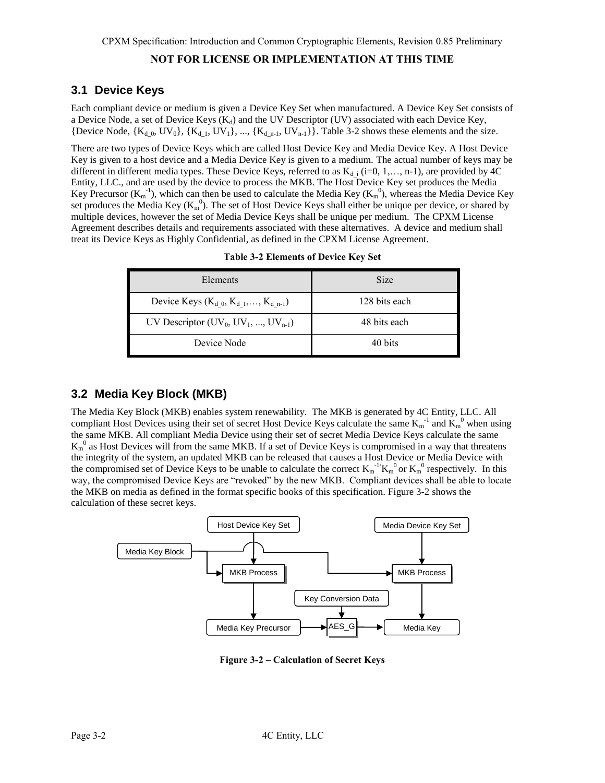## **3.1 Device Keys**

Each compliant device or medium is given a Device Key Set when manufactured. A Device Key Set consists of a Device Node, a set of Device Keys  $(K_d)$  and the UV Descriptor (UV) associated with each Device Key, {Device Node,  ${K_d_0, UV_0}$ ,  ${K_d_1, UV_1}$ , ...,  ${K_d_{n-1}, UV_{n-1}}$ }. [Table 3-2](#page-21-0) shows these elements and the size.

There are two types of Device Keys which are called Host Device Key and Media Device Key. A Host Device Key is given to a host device and a Media Device Key is given to a medium. The actual number of keys may be different in different media types. These Device Keys, referred to as  $K_{d,i}$  (i=0, 1,…, n-1), are provided by 4C Entity, LLC., and are used by the device to process the MKB. The Host Device Key set produces the Media Key Precursor  $(K_m^{-1})$ , which can then be used to calculate the Media Key  $(K_m^{-0})$ , whereas the Media Device Key set produces the Media Key  $(K_m^0)$ . The set of Host Device Keys shall either be unique per device, or shared by multiple devices, however the set of Media Device Keys shall be unique per medium. The CPXM License Agreement describes details and requirements associated with these alternatives. A device and medium shall treat its Device Keys as Highly Confidential, as defined in the CPXM License Agreement.

<span id="page-21-0"></span>

| Elements                                     | <b>Size</b>   |  |  |
|----------------------------------------------|---------------|--|--|
| Device Keys $(K_{d,0}, K_{d,1},, K_{d,n-1})$ | 128 bits each |  |  |
| UV Descriptor $(UV_0, UV_1, , UV_{n-1})$     | 48 bits each  |  |  |
| Device Node                                  | 40 bits       |  |  |

**Table 3-2 Elements of Device Key Set**

## **3.2 Media Key Block (MKB)**

The Media Key Block (MKB) enables system renewability. The MKB is generated by 4C Entity, LLC. All compliant Host Devices using their set of secret Host Device Keys calculate the same  $K_m^{-1}$  and  $K_m^{-0}$  when using the same MKB. All compliant Media Device using their set of secret Media Device Keys calculate the same  $K_m^0$  as Host Devices will from the same MKB. If a set of Device Keys is compromised in a way that threatens the integrity of the system, an updated MKB can be released that causes a Host Device or Media Device with the compromised set of Device Keys to be unable to calculate the correct  $K_m^{-1}K_m^0$  or  $K_m^0$  respectively. In this way, the compromised Device Keys are "revoked" by the new MKB. Compliant devices shall be able to locate the MKB on media as defined in the format specific books of this specification. [Figure 3-2](#page-21-1) shows the calculation of these secret keys.

<span id="page-21-1"></span>

**Figure 3-2 – Calculation of Secret Keys**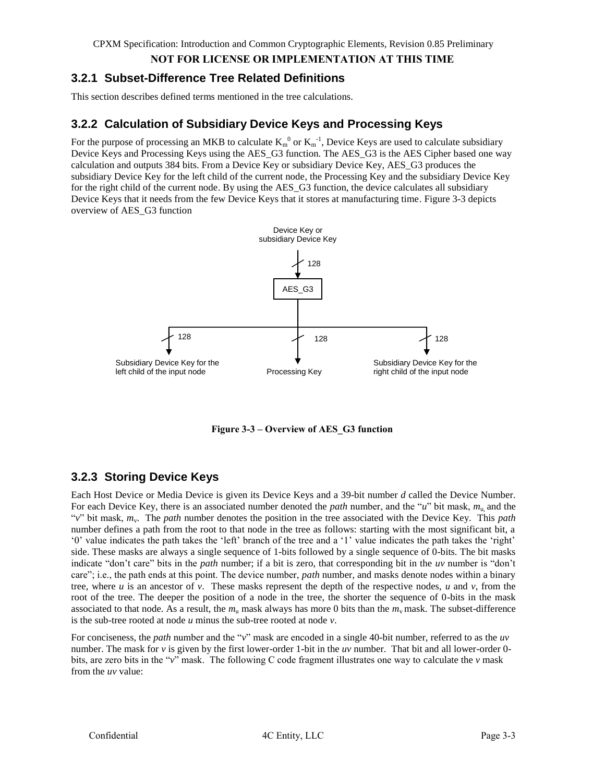## **3.2.1 Subset-Difference Tree Related Definitions**

This section describes defined terms mentioned in the tree calculations.

## **3.2.2 Calculation of Subsidiary Device Keys and Processing Keys**

For the purpose of processing an MKB to calculate  $K_m^0$  or  $K_m^{-1}$ , Device Keys are used to calculate subsidiary Device Keys and Processing Keys using the AES\_G3 function. The AES\_G3 is the AES Cipher based one way calculation and outputs 384 bits. From a Device Key or subsidiary Device Key, AES\_G3 produces the subsidiary Device Key for the left child of the current node, the Processing Key and the subsidiary Device Key for the right child of the current node. By using the AES\_G3 function, the device calculates all subsidiary Device Keys that it needs from the few Device Keys that it stores at manufacturing time. [Figure 3-3](#page-22-0) depicts overview of AES\_G3 function



**Figure 3-3 – Overview of AES\_G3 function**

## <span id="page-22-1"></span><span id="page-22-0"></span>**3.2.3 Storing Device Keys**

Each Host Device or Media Device is given its Device Keys and a 39-bit number *d* called the Device Number. For each Device Key, there is an associated number denoted the *path* number, and the "*u*" bit mask, *m*u, and the "*v*" bit mask, *m*v. The *path* number denotes the position in the tree associated with the Device Key. This *path* number defines a path from the root to that node in the tree as follows: starting with the most significant bit, a "0" value indicates the path takes the "left" branch of the tree and a "1" value indicates the path takes the "right" side. These masks are always a single sequence of 1-bits followed by a single sequence of 0-bits. The bit masks indicate "don't care" bits in the *path* number; if a bit is zero, that corresponding bit in the *uv* number is "don't care"; i.e., the path ends at this point. The device number, *path* number, and masks denote nodes within a binary tree, where  $u$  is an ancestor of  $v$ . These masks represent the depth of the respective nodes,  $u$  and  $v$ , from the root of the tree. The deeper the position of a node in the tree, the shorter the sequence of 0-bits in the mask associated to that node. As a result, the  $m_u$  mask always has more 0 bits than the  $m_v$  mask. The subset-difference is the sub-tree rooted at node *u* minus the sub-tree rooted at node *v*.

For conciseness, the *path* number and the "*v*" mask are encoded in a single 40-bit number, referred to as the *uv*  number. The mask for *v* is given by the first lower-order 1-bit in the *uv* number. That bit and all lower-order 0bits, are zero bits in the "*v*" mask. The following C code fragment illustrates one way to calculate the *v* mask from the *uv* value: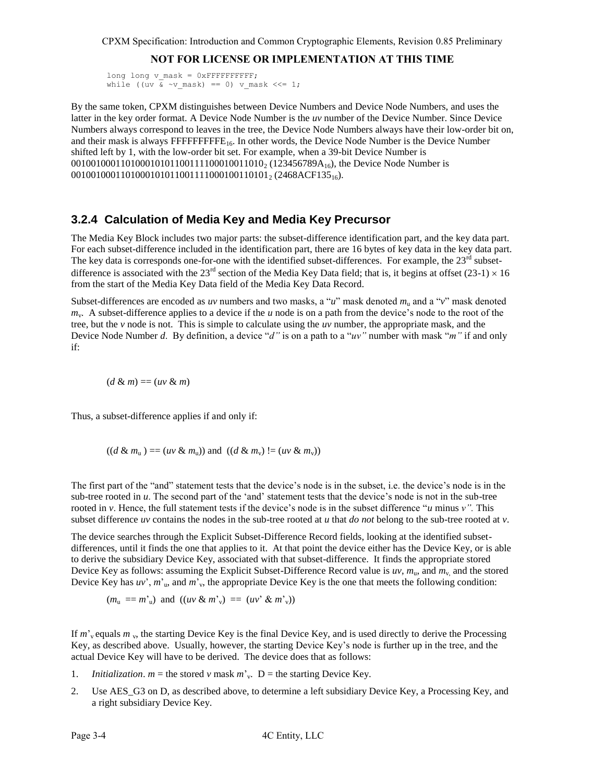long long  $v$  mask = 0xFFFFFFFFFF; while ((uv  $\overline{\&} \sim v$  mask) == 0) v mask <<= 1;

By the same token, CPXM distinguishes between Device Numbers and Device Node Numbers, and uses the latter in the key order format. A Device Node Number is the *uv* number of the Device Number. Since Device Numbers always correspond to leaves in the tree, the Device Node Numbers always have their low-order bit on, and their mask is always FFFFFFFFFE16. In other words, the Device Node Number is the Device Number shifted left by 1, with the low-order bit set. For example, when a 39-bit Device Number is 00100100110100010101100111100010011010<sub>2</sub> (123456789A<sub>16</sub>), the Device Node Number is 0010010001101000101011001111000100110101<sup>2</sup> (2468ACF13516).

#### <span id="page-23-0"></span>**3.2.4 Calculation of Media Key and Media Key Precursor**

The Media Key Block includes two major parts: the subset-difference identification part, and the key data part. For each subset-difference included in the identification part, there are 16 bytes of key data in the key data part. The key data is corresponds one-for-one with the identified subset-differences. For example, the 23<sup>rd</sup> subsetdifference is associated with the 23<sup>rd</sup> section of the Media Key Data field; that is, it begins at offset (23-1)  $\times$  16 from the start of the Media Key Data field of the Media Key Data Record.

Subset-differences are encoded as *uv* numbers and two masks, a "*u*" mask denoted *m*<sup>u</sup> and a "*v*" mask denoted *m*v. A subset-difference applies to a device if the *u* node is on a path from the device"s node to the root of the tree, but the *v* node is not. This is simple to calculate using the *uv* number, the appropriate mask, and the Device Node Number *d*. By definition, a device "*d"* is on a path to a "*uv"* number with mask "*m"* if and only if:

 $(d \& m) = (uv \& m)$ 

Thus, a subset-difference applies if and only if:

$$
((d \& m_u) == (uv \& m_u))
$$
 and  $((d \& m_v) != (uv \& m_v))$ 

The first part of the "and" statement tests that the device"s node is in the subset, i.e. the device"s node is in the sub-tree rooted in  $u$ . The second part of the 'and' statement tests that the device's node is not in the sub-tree rooted in *v*. Hence, the full statement tests if the device's node is in the subset difference "*u* minus *v*". This subset difference *uv* contains the nodes in the sub-tree rooted at *u* that *do not* belong to the sub-tree rooted at *v*.

The device searches through the Explicit Subset-Difference Record fields, looking at the identified subsetdifferences, until it finds the one that applies to it. At that point the device either has the Device Key, or is able to derive the subsidiary Device Key, associated with that subset-difference. It finds the appropriate stored Device Key as follows: assuming the Explicit Subset-Difference Record value is  $uv$ ,  $m_u$ , and  $m_v$  and the stored Device Key has *uv*', *m*'<sub>u</sub>, and *m*'<sub>v</sub>, the appropriate Device Key is the one that meets the following condition:

$$
(m_{\rm u} = m_{\rm u}^{\prime})
$$
 and  $((uv \& m_{\rm v}^{\prime}) = (uv' \& m_{\rm v}^{\prime}))$ 

If  $m<sub>v</sub>$  equals  $m<sub>v</sub>$ , the starting Device Key is the final Device Key, and is used directly to derive the Processing Key, as described above. Usually, however, the starting Device Key"s node is further up in the tree, and the actual Device Key will have to be derived. The device does that as follows:

- 1. *Initialization.*  $m =$  the stored  $v$  mask  $m_v$ .  $D =$  the starting Device Key.
- 2. Use AES G3 on D, as described above, to determine a left subsidiary Device Key, a Processing Key, and a right subsidiary Device Key.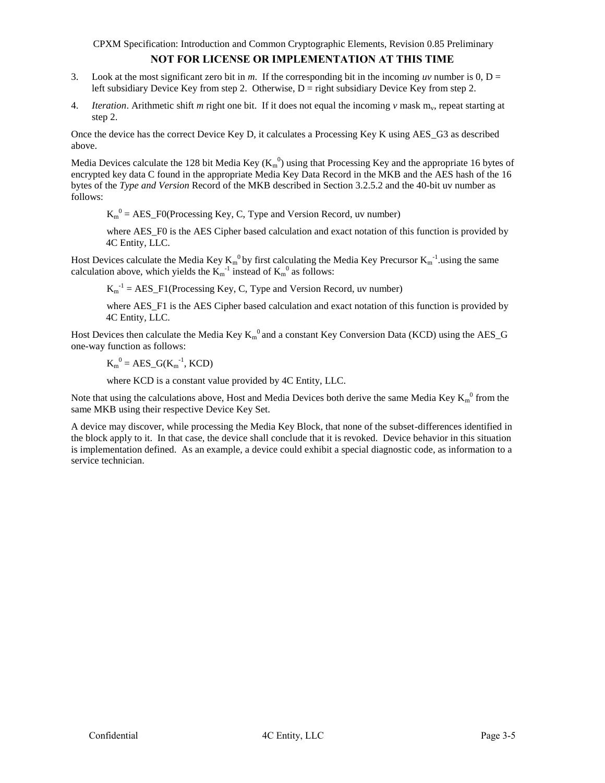CPXM Specification: Introduction and Common Cryptographic Elements, Revision 0.85 Preliminary

#### **NOT FOR LICENSE OR IMPLEMENTATION AT THIS TIME**

- 3. Look at the most significant zero bit in  $m$ . If the corresponding bit in the incoming  $uv$  number is 0,  $D =$ left subsidiary Device Key from step 2. Otherwise, D = right subsidiary Device Key from step 2.
- 4. *Iteration*. Arithmetic shift *m* right one bit. If it does not equal the incoming  $\nu$  mask m<sub> $\nu$ </sub>, repeat starting at step 2.

Once the device has the correct Device Key D, it calculates a Processing Key K using AES\_G3 as described above.

Media Devices calculate the 128 bit Media Key ( $K_m^0$ ) using that Processing Key and the appropriate 16 bytes of encrypted key data C found in the appropriate Media Key Data Record in the MKB and the AES hash of the 16 bytes of the *Type and Version* Record of the MKB described in Section [3.2.5.2](#page-26-0) and the 40-bit uv number as follows:

 $K_m^0$  = AES\_F0(Processing Key, C, Type and Version Record, uv number)

where AES\_F0 is the AES Cipher based calculation and exact notation of this function is provided by 4C Entity, LLC.

Host Devices calculate the Media Key  $K_m^0$  by first calculating the Media Key Precursor  $K_m^{-1}$  using the same calculation above, which yields the  $K_m^{-1}$  instead of  $K_m^{-0}$  as follows:

 $K_m^{-1} = AES_F1(Processing Key, C, Type and Version Record, uv number)$ 

where AES F1 is the AES Cipher based calculation and exact notation of this function is provided by 4C Entity, LLC.

Host Devices then calculate the Media Key  $K_m^0$  and a constant Key Conversion Data (KCD) using the AES\_G one-way function as follows:

 $K_m^0 = AES_G(K_m^{-1}, KCD)$ 

where KCD is a constant value provided by 4C Entity, LLC.

Note that using the calculations above, Host and Media Devices both derive the same Media Key  $K_m^0$  from the same MKB using their respective Device Key Set.

A device may discover, while processing the Media Key Block, that none of the subset-differences identified in the block apply to it. In that case, the device shall conclude that it is revoked. Device behavior in this situation is implementation defined. As an example, a device could exhibit a special diagnostic code, as information to a service technician.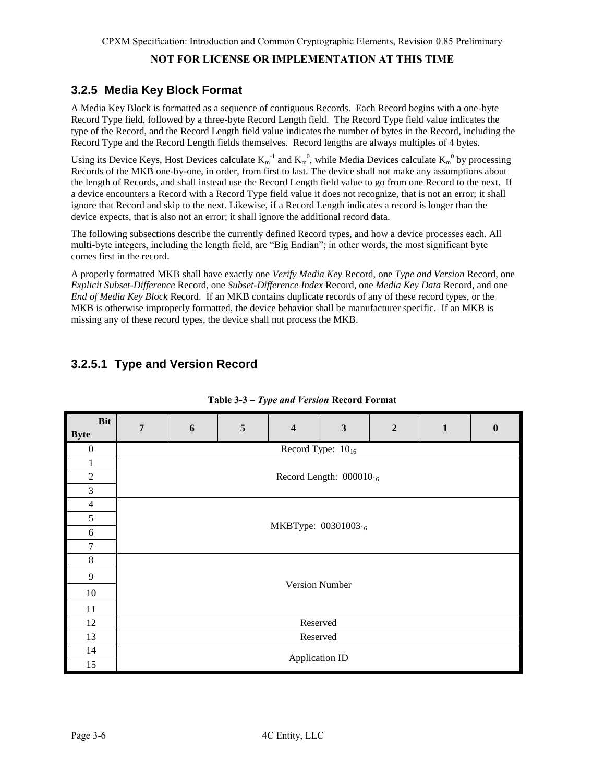## **3.2.5 Media Key Block Format**

A Media Key Block is formatted as a sequence of contiguous Records. Each Record begins with a one-byte Record Type field, followed by a three-byte Record Length field. The Record Type field value indicates the type of the Record, and the Record Length field value indicates the number of bytes in the Record, including the Record Type and the Record Length fields themselves. Record lengths are always multiples of 4 bytes.

Using its Device Keys, Host Devices calculate  $K_m^{-1}$  and  $K_m^{-0}$ , while Media Devices calculate  $K_m^{-0}$  by processing Records of the MKB one-by-one, in order, from first to last. The device shall not make any assumptions about the length of Records, and shall instead use the Record Length field value to go from one Record to the next. If a device encounters a Record with a Record Type field value it does not recognize, that is not an error; it shall ignore that Record and skip to the next. Likewise, if a Record Length indicates a record is longer than the device expects, that is also not an error; it shall ignore the additional record data.

The following subsections describe the currently defined Record types, and how a device processes each. All multi-byte integers, including the length field, are "Big Endian"; in other words, the most significant byte comes first in the record.

A properly formatted MKB shall have exactly one *Verify Media Key* Record, one *Type and Version* Record, one *Explicit Subset-Difference* Record, one *Subset-Difference Index* Record, one *Media Key Data* Record, and one *End of Media Key Block* Record. If an MKB contains duplicate records of any of these record types, or the MKB is otherwise improperly formatted, the device behavior shall be manufacturer specific. If an MKB is missing any of these record types, the device shall not process the MKB.

## **3.2.5.1 Type and Version Record**

| <b>Bit</b><br><b>Byte</b> | 7              | 6                               | 5 | $\overline{\mathbf{4}}$ | $\mathbf{3}$ | $\boldsymbol{2}$ | $\mathbf{1}$ | $\bf{0}$ |
|---------------------------|----------------|---------------------------------|---|-------------------------|--------------|------------------|--------------|----------|
| $\boldsymbol{0}$          |                | Record Type: $10_{16}$          |   |                         |              |                  |              |          |
| 1                         |                |                                 |   |                         |              |                  |              |          |
| $\overline{2}$            |                | Record Length: $000010_{16}$    |   |                         |              |                  |              |          |
| $\overline{3}$            |                |                                 |   |                         |              |                  |              |          |
| $\overline{4}$            |                |                                 |   |                         |              |                  |              |          |
| $\mathfrak{S}$            |                |                                 |   |                         |              |                  |              |          |
| 6                         |                | MKBType: 00301003 <sub>16</sub> |   |                         |              |                  |              |          |
| $\tau$                    |                |                                 |   |                         |              |                  |              |          |
| $\,8\,$                   |                |                                 |   |                         |              |                  |              |          |
| 9                         |                |                                 |   |                         |              |                  |              |          |
| 10                        |                | Version Number                  |   |                         |              |                  |              |          |
| 11                        |                |                                 |   |                         |              |                  |              |          |
| 12                        |                | Reserved<br>Reserved            |   |                         |              |                  |              |          |
| 13                        |                |                                 |   |                         |              |                  |              |          |
| 14                        |                |                                 |   |                         |              |                  |              |          |
| 15                        | Application ID |                                 |   |                         |              |                  |              |          |

**Table 3-3 –** *Type and Version* **Record Format**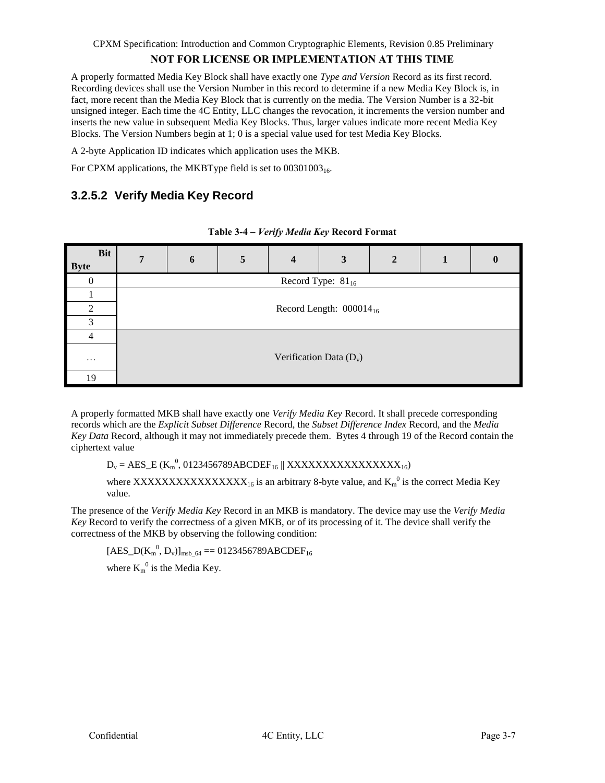CPXM Specification: Introduction and Common Cryptographic Elements, Revision 0.85 Preliminary

#### **NOT FOR LICENSE OR IMPLEMENTATION AT THIS TIME**

A properly formatted Media Key Block shall have exactly one *Type and Version* Record as its first record. Recording devices shall use the Version Number in this record to determine if a new Media Key Block is, in fact, more recent than the Media Key Block that is currently on the media. The Version Number is a 32-bit unsigned integer. Each time the 4C Entity, LLC changes the revocation, it increments the version number and inserts the new value in subsequent Media Key Blocks. Thus, larger values indicate more recent Media Key Blocks. The Version Numbers begin at 1; 0 is a special value used for test Media Key Blocks.

A 2-byte Application ID indicates which application uses the MKB.

For CPXM applications, the MKBType field is set to 00301003<sub>16</sub>.

## <span id="page-26-0"></span>**3.2.5.2 Verify Media Key Record**

| <b>Bit</b>  | 7 | 6                             | 5 | $\boldsymbol{4}$ | 3                                   | 2 |  |  |  |  |
|-------------|---|-------------------------------|---|------------------|-------------------------------------|---|--|--|--|--|
| <b>Byte</b> |   |                               |   |                  |                                     |   |  |  |  |  |
| 0           |   | Record Type: 81 <sub>16</sub> |   |                  |                                     |   |  |  |  |  |
|             |   |                               |   |                  |                                     |   |  |  |  |  |
| 2           |   |                               |   |                  | Record Length: 000014 <sub>16</sub> |   |  |  |  |  |
| 3           |   |                               |   |                  |                                     |   |  |  |  |  |
| 4           |   |                               |   |                  |                                     |   |  |  |  |  |
| .           |   | Verification Data $(D_v)$     |   |                  |                                     |   |  |  |  |  |
| 19          |   |                               |   |                  |                                     |   |  |  |  |  |

**Table 3-4 –** *Verify Media Key* **Record Format**

A properly formatted MKB shall have exactly one *Verify Media Key* Record. It shall precede corresponding records which are the *Explicit Subset Difference* Record, the *Subset Difference Index* Record, and the *Media Key Data* Record, although it may not immediately precede them. Bytes 4 through 19 of the Record contain the ciphertext value

 $D_v = AES\_E(K_m^0, 0123456789ABCDEF_{16} || XXXXXXXXXXXXXXXX]_{16}$ 

where XXXXXXXXXXXXXXX<sub>16</sub> is an arbitrary 8-byte value, and  $K_m^0$  is the correct Media Key value.

The presence of the *Verify Media Key* Record in an MKB is mandatory. The device may use the *Verify Media Key* Record to verify the correctness of a given MKB, or of its processing of it. The device shall verify the correctness of the MKB by observing the following condition:

 $[AES\_D(K_m^0, D_v)]_{msb\_64} = 0123456789ABCDEF_{16}$ 

where  $K_m^0$  is the Media Key.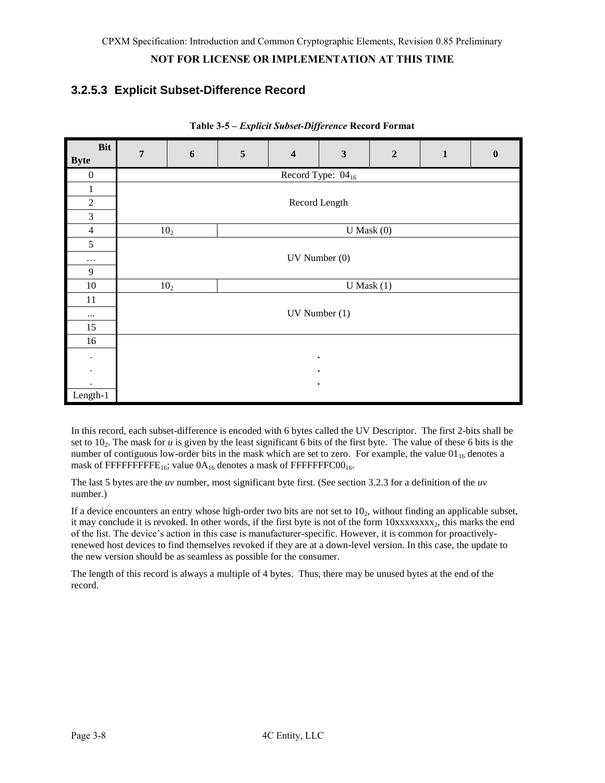## **3.2.5.3 Explicit Subset-Difference Record**

| <b>Bit</b><br><b>Byte</b> | $\overline{7}$ | 6                             | $\overline{5}$ | $\overline{\mathbf{4}}$ | $\mathbf{3}$      | $\overline{2}$ | $\mathbf{1}$ | $\boldsymbol{0}$ |  |  |
|---------------------------|----------------|-------------------------------|----------------|-------------------------|-------------------|----------------|--------------|------------------|--|--|
| $\boldsymbol{0}$          |                | Record Type: 04 <sub>16</sub> |                |                         |                   |                |              |                  |  |  |
|                           |                |                               |                |                         |                   |                |              |                  |  |  |
| $\boldsymbol{2}$          |                | Record Length                 |                |                         |                   |                |              |                  |  |  |
| 3                         |                |                               |                |                         |                   |                |              |                  |  |  |
| $\overline{4}$            |                | 10 <sub>2</sub>               |                |                         | $U$ Mask $(0)$    |                |              |                  |  |  |
| 5                         |                |                               |                |                         |                   |                |              |                  |  |  |
| $\cdots$                  |                |                               |                |                         | $UV$ Number $(0)$ |                |              |                  |  |  |
| 9                         |                |                               |                |                         |                   |                |              |                  |  |  |
| $10\,$                    |                | 10 <sub>2</sub>               |                |                         | $U$ Mask $(1)$    |                |              |                  |  |  |
| $11\,$                    |                |                               |                |                         |                   |                |              |                  |  |  |
| $\ldots$                  |                |                               |                |                         | UV Number (1)     |                |              |                  |  |  |
| 15                        |                |                               |                |                         |                   |                |              |                  |  |  |
| 16                        |                |                               |                |                         |                   |                |              |                  |  |  |
|                           |                |                               |                |                         | $\bullet$         |                |              |                  |  |  |
|                           |                |                               |                |                         |                   |                |              |                  |  |  |
|                           |                |                               |                |                         | $\bullet$         |                |              |                  |  |  |
| Length-1                  |                |                               |                |                         |                   |                |              |                  |  |  |

**Table 3-5 –** *Explicit Subset-Difference* **Record Format**

In this record, each subset-difference is encoded with 6 bytes called the UV Descriptor. The first 2-bits shall be set to  $10<sub>2</sub>$ . The mask for *u* is given by the least significant 6 bits of the first byte. The value of these 6 bits is the number of contiguous low-order bits in the mask which are set to zero. For example, the value  $01_{16}$  denotes a mask of FFFFFFFFFFE<sub>16</sub>; value  $0A_{16}$  denotes a mask of FFFFFFFC $00_{16}$ .

The last 5 bytes are the *uv* number, most significant byte first. (See section [3.2.3](#page-22-1) for a definition of the *uv*  number.)

If a device encounters an entry whose high-order two bits are not set to  $10<sub>2</sub>$ , without finding an applicable subset, it may conclude it is revoked. In other words, if the first byte is not of the form  $10xxxxxxx_2$ , this marks the end of the list. The device"s action in this case is manufacturer-specific. However, it is common for proactivelyrenewed host devices to find themselves revoked if they are at a down-level version. In this case, the update to the new version should be as seamless as possible for the consumer.

The length of this record is always a multiple of 4 bytes. Thus, there may be unused bytes at the end of the record.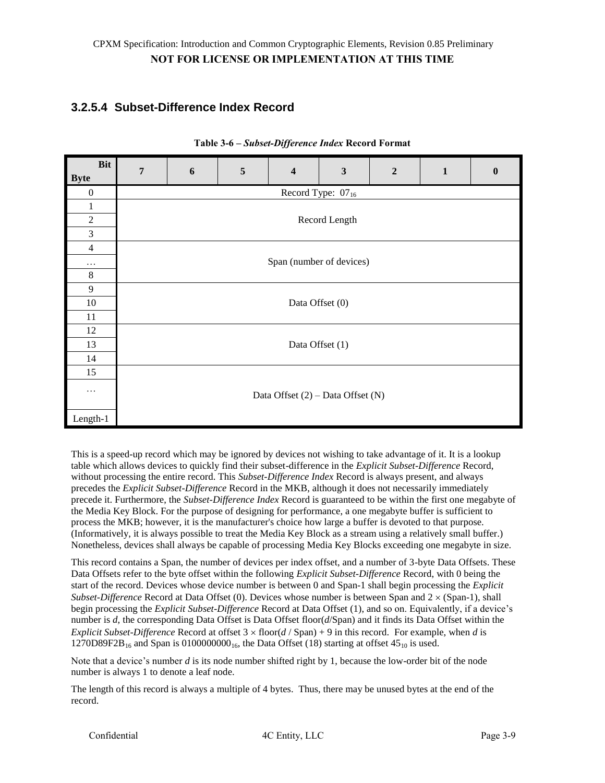## **3.2.5.4 Subset-Difference Index Record**

| <b>Bit</b><br><b>Byte</b> | 7                             | 6                                     | $\overline{5}$ | $\overline{\mathbf{4}}$ | $\mathbf{3}$             | $\boldsymbol{2}$ | $\mathbf{1}$ | $\boldsymbol{0}$ |  |  |
|---------------------------|-------------------------------|---------------------------------------|----------------|-------------------------|--------------------------|------------------|--------------|------------------|--|--|
| $\boldsymbol{0}$          | Record Type: 07 <sub>16</sub> |                                       |                |                         |                          |                  |              |                  |  |  |
| 1                         |                               |                                       |                |                         |                          |                  |              |                  |  |  |
| $\overline{2}$            |                               | Record Length                         |                |                         |                          |                  |              |                  |  |  |
| 3                         |                               |                                       |                |                         |                          |                  |              |                  |  |  |
| $\overline{4}$            |                               |                                       |                |                         |                          |                  |              |                  |  |  |
| $\cdots$                  |                               |                                       |                |                         | Span (number of devices) |                  |              |                  |  |  |
| $\,8\,$                   |                               |                                       |                |                         |                          |                  |              |                  |  |  |
| 9                         |                               |                                       |                |                         |                          |                  |              |                  |  |  |
| 10                        |                               | Data Offset (0)                       |                |                         |                          |                  |              |                  |  |  |
| 11                        |                               |                                       |                |                         |                          |                  |              |                  |  |  |
| 12                        |                               |                                       |                |                         |                          |                  |              |                  |  |  |
| 13                        |                               | Data Offset (1)                       |                |                         |                          |                  |              |                  |  |  |
| 14                        |                               |                                       |                |                         |                          |                  |              |                  |  |  |
| 15                        |                               |                                       |                |                         |                          |                  |              |                  |  |  |
| $\cdots$                  |                               | Data Offset $(2)$ – Data Offset $(N)$ |                |                         |                          |                  |              |                  |  |  |
| Length-1                  |                               |                                       |                |                         |                          |                  |              |                  |  |  |

**Table 3-6 –** *Subset-Difference Index* **Record Format**

This is a speed-up record which may be ignored by devices not wishing to take advantage of it. It is a lookup table which allows devices to quickly find their subset-difference in the *Explicit Subset-Difference* Record, without processing the entire record. This *Subset-Difference Index* Record is always present, and always precedes the *Explicit Subset-Difference* Record in the MKB, although it does not necessarily immediately precede it. Furthermore, the *Subset-Difference Index* Record is guaranteed to be within the first one megabyte of the Media Key Block. For the purpose of designing for performance, a one megabyte buffer is sufficient to process the MKB; however, it is the manufacturer's choice how large a buffer is devoted to that purpose. (Informatively, it is always possible to treat the Media Key Block as a stream using a relatively small buffer.) Nonetheless, devices shall always be capable of processing Media Key Blocks exceeding one megabyte in size.

This record contains a Span, the number of devices per index offset, and a number of 3-byte Data Offsets. These Data Offsets refer to the byte offset within the following *Explicit Subset-Difference* Record, with 0 being the start of the record. Devices whose device number is between 0 and Span-1 shall begin processing the *Explicit Subset-Difference* Record at Data Offset (0). Devices whose number is between Span and  $2 \times (Span-1)$ , shall begin processing the *Explicit Subset-Difference* Record at Data Offset (1), and so on. Equivalently, if a device's number is *d*, the corresponding Data Offset is Data Offset floor(*d*/Span) and it finds its Data Offset within the *Explicit Subset-Difference* Record at offset  $3 \times$  floor( $d$  / Span) + 9 in this record. For example, when *d* is 1270D89F2B<sub>16</sub> and Span is 0100000000<sub>16</sub>, the Data Offset (18) starting at offset 45<sub>10</sub> is used.

Note that a device's number *d* is its node number shifted right by 1, because the low-order bit of the node number is always 1 to denote a leaf node.

The length of this record is always a multiple of 4 bytes. Thus, there may be unused bytes at the end of the record.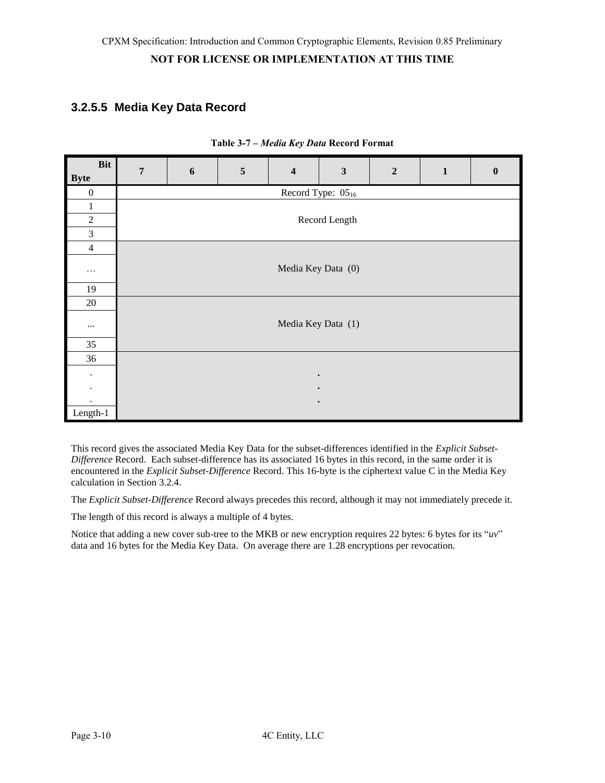## **3.2.5.5 Media Key Data Record**

| <b>Bit</b><br><b>Byte</b> | $\overline{7}$                | 6                  | $\overline{5}$ | $\overline{\mathbf{4}}$ | $\mathbf{3}$ | $\overline{2}$ | $\mathbf{1}$ | $\bf{0}$ |  |  |
|---------------------------|-------------------------------|--------------------|----------------|-------------------------|--------------|----------------|--------------|----------|--|--|
| $\boldsymbol{0}$          | Record Type: 05 <sub>16</sub> |                    |                |                         |              |                |              |          |  |  |
| 1                         |                               |                    |                |                         |              |                |              |          |  |  |
| $\sqrt{2}$                |                               | Record Length      |                |                         |              |                |              |          |  |  |
| $\mathfrak{Z}$            |                               |                    |                |                         |              |                |              |          |  |  |
| $\overline{4}$            |                               |                    |                |                         |              |                |              |          |  |  |
| $\cdots$                  |                               | Media Key Data (0) |                |                         |              |                |              |          |  |  |
| 19                        |                               |                    |                |                         |              |                |              |          |  |  |
| $20\,$                    |                               |                    |                |                         |              |                |              |          |  |  |
| $\cdots$                  |                               | Media Key Data (1) |                |                         |              |                |              |          |  |  |
| 35                        |                               |                    |                |                         |              |                |              |          |  |  |
| 36                        |                               |                    |                |                         |              |                |              |          |  |  |
|                           |                               |                    |                |                         | $\bullet$    |                |              |          |  |  |
|                           |                               |                    |                |                         |              |                |              |          |  |  |
|                           |                               |                    |                |                         | $\bullet$    |                |              |          |  |  |
| Length-1                  |                               |                    |                |                         |              |                |              |          |  |  |

**Table 3-7 –** *Media Key Data* **Record Format**

This record gives the associated Media Key Data for the subset-differences identified in the *Explicit Subset-Difference* Record. Each subset-difference has its associated 16 bytes in this record, in the same order it is encountered in the *Explicit Subset-Difference* Record. This 16-byte is the ciphertext value C in the Media Key calculation in Section [3.2.4.](#page-23-0)

The *Explicit Subset-Difference* Record always precedes this record, although it may not immediately precede it.

The length of this record is always a multiple of 4 bytes.

Notice that adding a new cover sub-tree to the MKB or new encryption requires 22 bytes: 6 bytes for its "*uv*" data and 16 bytes for the Media Key Data. On average there are 1.28 encryptions per revocation.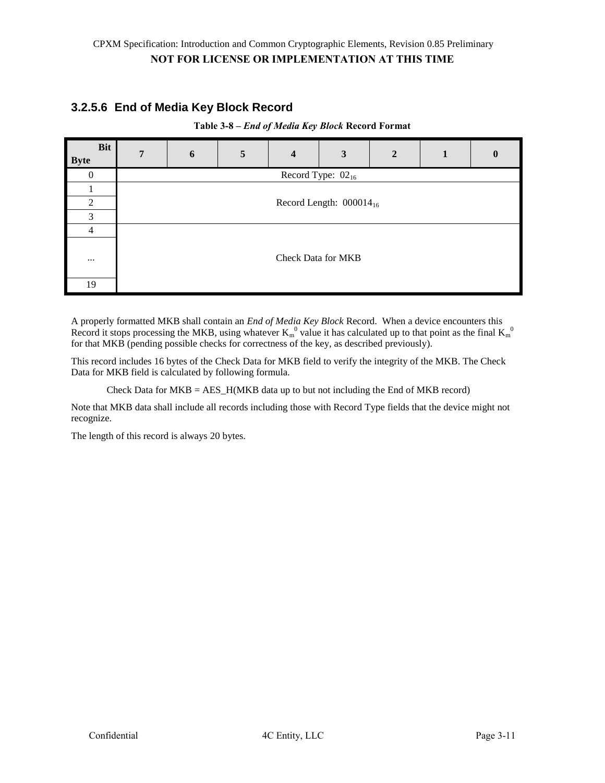## **3.2.5.6 End of Media Key Block Record**

| <b>Bit</b><br><b>Byte</b> | 7 | 6                      | 5 | 4                         | 3                            | 2 |  |  |  |  |
|---------------------------|---|------------------------|---|---------------------------|------------------------------|---|--|--|--|--|
| $\Omega$                  |   | Record Type: $02_{16}$ |   |                           |                              |   |  |  |  |  |
|                           |   |                        |   |                           |                              |   |  |  |  |  |
| $\mathcal{L}$             |   |                        |   |                           | Record Length: $000014_{16}$ |   |  |  |  |  |
| 3                         |   |                        |   |                           |                              |   |  |  |  |  |
| 4                         |   |                        |   |                           |                              |   |  |  |  |  |
| $\cdots$                  |   |                        |   | <b>Check Data for MKB</b> |                              |   |  |  |  |  |
| 19                        |   |                        |   |                           |                              |   |  |  |  |  |

#### **Table 3-8 –** *End of Media Key Block* **Record Format**

A properly formatted MKB shall contain an *End of Media Key Block* Record. When a device encounters this Record it stops processing the MKB, using whatever  $K_m^0$  value it has calculated up to that point as the final  $K_m^0$ for that MKB (pending possible checks for correctness of the key, as described previously).

This record includes 16 bytes of the Check Data for MKB field to verify the integrity of the MKB. The Check Data for MKB field is calculated by following formula.

Check Data for  $MKB = AES_H(MKB)$  data up to but not including the End of  $MKB$  record)

Note that MKB data shall include all records including those with Record Type fields that the device might not recognize.

The length of this record is always 20 bytes.